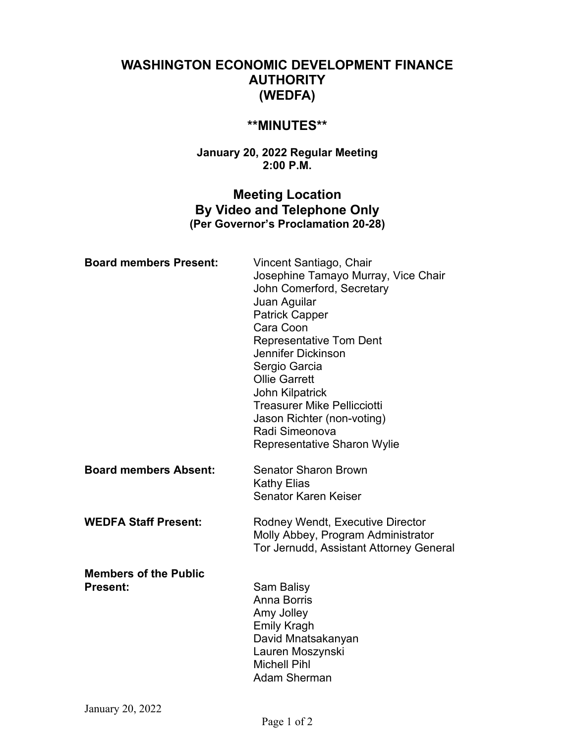# **WASHINGTON ECONOMIC DEVELOPMENT FINANCE AUTHORITY (WEDFA)**

## **\*\*MINUTES\*\***

### **January 20, 2022 Regular Meeting 2:00 P.M.**

## **Meeting Location By Video and Telephone Only (Per Governor's Proclamation 20-28)**

| <b>Board members Present:</b>                   | Vincent Santiago, Chair<br>Josephine Tamayo Murray, Vice Chair<br>John Comerford, Secretary<br>Juan Aguilar<br><b>Patrick Capper</b><br>Cara Coon<br><b>Representative Tom Dent</b><br>Jennifer Dickinson<br>Sergio Garcia<br><b>Ollie Garrett</b><br><b>John Kilpatrick</b><br><b>Treasurer Mike Pellicciotti</b><br>Jason Richter (non-voting)<br>Radi Simeonova<br>Representative Sharon Wylie |
|-------------------------------------------------|---------------------------------------------------------------------------------------------------------------------------------------------------------------------------------------------------------------------------------------------------------------------------------------------------------------------------------------------------------------------------------------------------|
| <b>Board members Absent:</b>                    | <b>Senator Sharon Brown</b><br><b>Kathy Elias</b><br>Senator Karen Keiser                                                                                                                                                                                                                                                                                                                         |
| <b>WEDFA Staff Present:</b>                     | Rodney Wendt, Executive Director<br>Molly Abbey, Program Administrator<br>Tor Jernudd, Assistant Attorney General                                                                                                                                                                                                                                                                                 |
| <b>Members of the Public</b><br><b>Present:</b> | Sam Balisy<br>Anna Borris<br>Amy Jolley<br><b>Emily Kragh</b><br>David Mnatsakanyan<br>Lauren Moszynski<br><b>Michell Pihl</b><br><b>Adam Sherman</b>                                                                                                                                                                                                                                             |